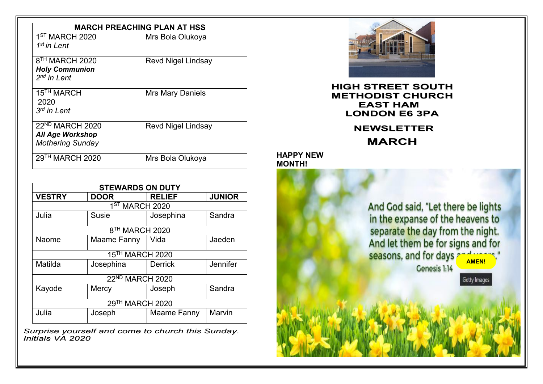| <b>MARCH PREACHING PLAN AT HSS</b>                                                |                           |
|-----------------------------------------------------------------------------------|---------------------------|
| 1 <sup>ST</sup> MARCH 2020<br>$1st$ in Lent                                       | Mrs Bola Olukoya          |
| 8 <sup>TH</sup> MARCH 2020<br><b>Holy Communion</b><br>$2^{nd}$ in Lent           | <b>Revd Nigel Lindsay</b> |
| 15 <sup>TH</sup> MARCH<br>2020<br>$3rd$ in Lent                                   | Mrs Mary Daniels          |
| 22 <sup>ND</sup> MARCH 2020<br><b>All Age Workshop</b><br><b>Mothering Sunday</b> | <b>Revd Nigel Lindsay</b> |
| 29 <sup>TH</sup> MARCH 2020                                                       | Mrs Bola Olukoya          |

| <b>STEWARDS ON DUTY</b>    |                 |                |               |  |
|----------------------------|-----------------|----------------|---------------|--|
| <b>VESTRY</b>              | <b>DOOR</b>     | <b>RELIEF</b>  | <b>JUNIOR</b> |  |
| 1 <sup>ST</sup> MARCH 2020 |                 |                |               |  |
| Julia                      | <b>Susie</b>    | Josephina      | Sandra        |  |
| 8 <sup>TH</sup> MARCH 2020 |                 |                |               |  |
| <b>Naome</b>               | Maame Fanny     | Vida           | Jaeden        |  |
|                            | 15TH MARCH 2020 |                |               |  |
| Matilda                    | Josephina       | <b>Derrick</b> | Jennifer      |  |
|                            | 22ND MARCH 2020 |                |               |  |
| Kayode                     | Mercy           | Joseph         | Sandra        |  |
| 29TH MARCH 2020            |                 |                |               |  |
| Julia                      | Joseph          | Maame Fanny    | Marvin        |  |

*Surprise yourself and come to church this Sunday. Initials VA 2020*



**HIGH STREET SOUTH METHODIST CHURCH EAST HAM LONDON E6 3PA**

> **NEWSLETTER MARCH**

**HAPPY NEW MONTH!**

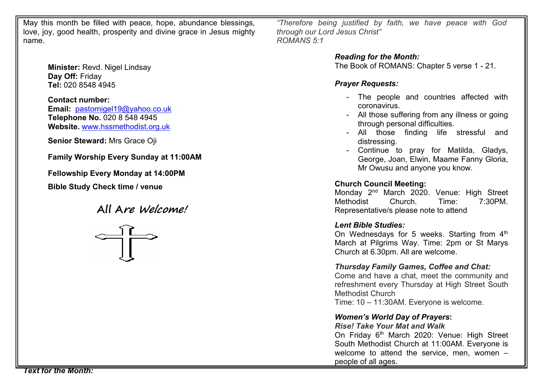May this month be filled with peace, hope, abundance blessings, love, joy, good health, prosperity and divine grace in Jesus mighty name.

> **Minister:** Revd. Nigel Lindsay **Day Off:** Friday **Tel:** 020 8548 4945

**Contact number: Email:** [pastornigel19@yahoo.co.uk](mailto:pastornigel19@yahoo.co.uk) **Telephone No.** 020 8 548 4945 **Website.** [www.hssmethodist.org.uk](http://www.hssmethodist.org.uk)

**Senior Steward:** Mrs Grace Oji

**Family Worship Every Sunday at 11:00AM**

**Fellowship Every Monday at 14:00PM**

**Bible Study Check time / venue**

**All Are Welcome!**



*"Therefore being justified by faith, we have peace with God through our Lord Jesus Christ" ROMANS 5:1*

*Reading for the Month:*

The Book of ROMANS: Chapter 5 verse 1 - 21.

### *Prayer Requests:*

- The people and countries affected with coronavirus.
- All those suffering from any illness or going through personal difficulties.
- All those finding life stressful and distressing.
- Continue to pray for Matilda, Gladys, George, Joan, Elwin, Maame Fanny Gloria, Mr Owusu and anyone you know.

### **Church Council Meeting:**

Monday 2<sup>nd</sup> March 2020. Venue: High Street **||** Methodist Church. Time: 7:30PM. Representative/s please note to attend

### *Lent Bible Studies:*

On Wednesdays for 5 weeks. Starting from  $4^{\text{th}}$   $\parallel$ March at Pilgrims Way. Time: 2pm or St Marys Church at 6.30pm. All are welcome.

### *Thursday Family Games, Coffee and Chat:*

Come and have a chat, meet the community and refreshment every Thursday at High Street South Methodist Church

Time: 10 – 11:30AM. Everyone is welcome.

# *Women's World Day of Prayers***:**

*Rise! Take Your Mat and Walk*

On Friday 6<sup>th</sup> March 2020: Venue: High Street || South Methodist Church at 11:00AM. Everyone is welcome to attend the service, men, women – people of all ages.